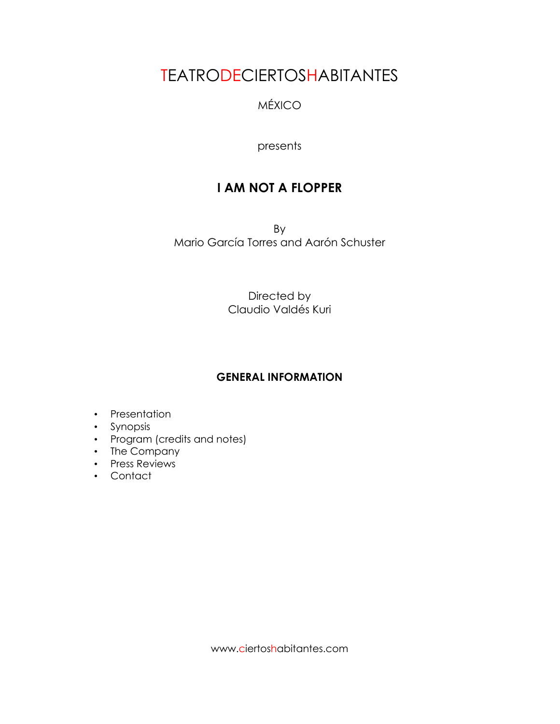# TEATRODECIERTOSHABITANTES

# MÉXICO

# presents

# **I AM NOT A FLOPPER**

By Mario García Torres and Aarón Schuster

> Directed by Claudio Valdés Kuri

# **GENERAL INFORMATION**

- Presentation
- Synopsis
- Program (credits and notes)
- The Company
- Press Reviews
- Contact

www.ciertoshabitantes.com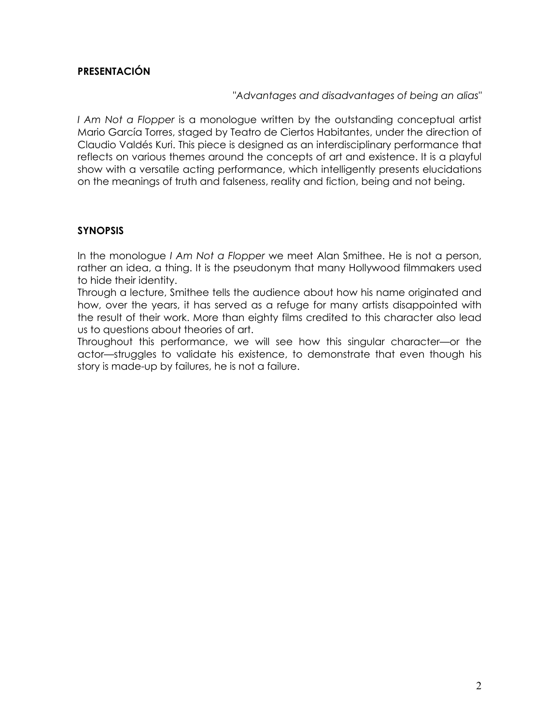# **PRESENTACIÓN**

"*Advantages and disadvantages of being an alias"*

*I Am Not a Flopper* is a monologue written by the outstanding conceptual artist Mario García Torres, staged by Teatro de Ciertos Habitantes, under the direction of Claudio Valdés Kuri. This piece is designed as an interdisciplinary performance that reflects on various themes around the concepts of art and existence. It is a playful show with a versatile acting performance, which intelligently presents elucidations on the meanings of truth and falseness, reality and fiction, being and not being.

#### **SYNOPSIS**

In the monologue *I Am Not a Flopper* we meet Alan Smithee. He is not a person, rather an idea, a thing. It is the pseudonym that many Hollywood filmmakers used to hide their identity.

Through a lecture, Smithee tells the audience about how his name originated and how, over the years, it has served as a refuge for many artists disappointed with the result of their work. More than eighty films credited to this character also lead us to questions about theories of art.

Throughout this performance, we will see how this singular character—or the actor—struggles to validate his existence, to demonstrate that even though his story is made-up by failures, he is not a failure.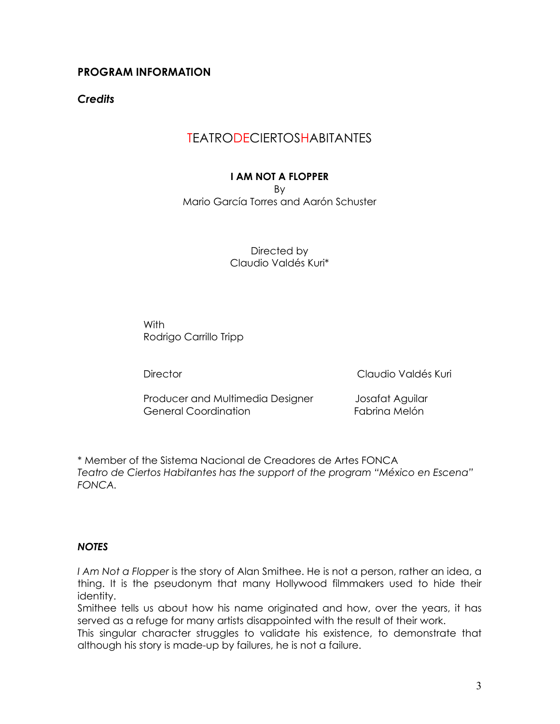# **PROGRAM INFORMATION**

*Credits*

# TEATRODECIERTOSHABITANTES

### **I AM NOT A FLOPPER**

By

Mario García Torres and Aarón Schuster

Directed by Claudio Valdés Kuri\*

With Rodrigo Carrillo Tripp

Director Claudio Valdés Kuri

Producer and Multimedia Designer Josafat Aguilar General Coordination **Fabrica Coordination** 

\* Member of the Sistema Nacional de Creadores de Artes FONCA *Teatro de Ciertos Habitantes has the support of the program "México en Escena" FONCA.*

#### *NOTES*

*I Am Not a Flopper* is the story of Alan Smithee. He is not a person, rather an idea, a thing. It is the pseudonym that many Hollywood filmmakers used to hide their identity.

Smithee tells us about how his name originated and how, over the years, it has served as a refuge for many artists disappointed with the result of their work.

This singular character struggles to validate his existence, to demonstrate that although his story is made-up by failures, he is not a failure.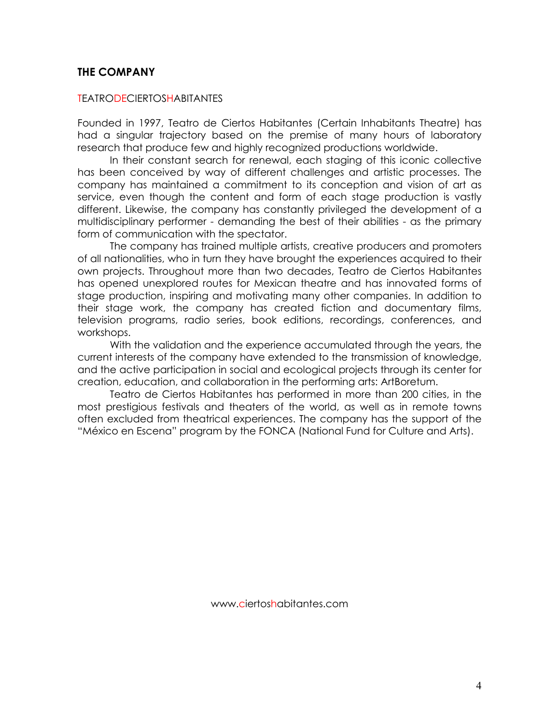### **THE COMPANY**

#### TEATRODECIERTOSHABITANTES

Founded in 1997, Teatro de Ciertos Habitantes (Certain Inhabitants Theatre) has had a singular trajectory based on the premise of many hours of laboratory research that produce few and highly recognized productions worldwide.

In their constant search for renewal, each staging of this iconic collective has been conceived by way of different challenges and artistic processes. The company has maintained a commitment to its conception and vision of art as service, even though the content and form of each stage production is vastly different. Likewise, the company has constantly privileged the development of a multidisciplinary performer - demanding the best of their abilities - as the primary form of communication with the spectator.

The company has trained multiple artists, creative producers and promoters of all nationalities, who in turn they have brought the experiences acquired to their own projects. Throughout more than two decades, Teatro de Ciertos Habitantes has opened unexplored routes for Mexican theatre and has innovated forms of stage production, inspiring and motivating many other companies. In addition to their stage work, the company has created fiction and documentary films, television programs, radio series, book editions, recordings, conferences, and workshops.

With the validation and the experience accumulated through the years, the current interests of the company have extended to the transmission of knowledge, and the active participation in social and ecological projects through its center for creation, education, and collaboration in the performing arts: ArtBoretum.

Teatro de Ciertos Habitantes has performed in more than 200 cities, in the most prestigious festivals and theaters of the world, as well as in remote towns often excluded from theatrical experiences. The company has the support of the "México en Escena" program by the FONCA (National Fund for Culture and Arts).

www.ciertoshabitantes.com